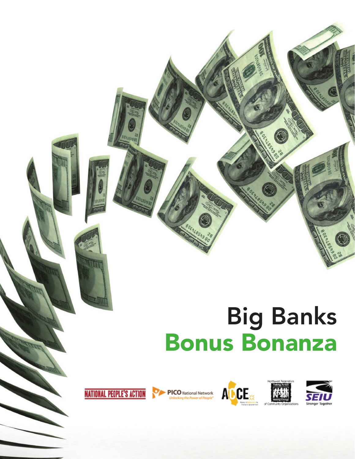# Big Banks Bonus Bonanza









PICO National Network



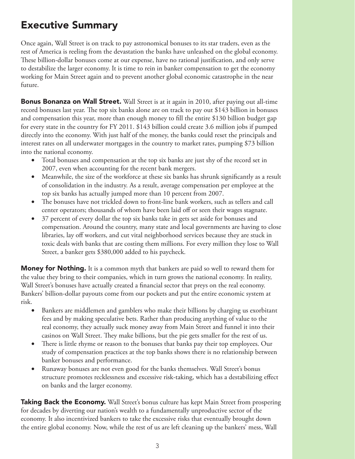## Executive Summary

Once again, Wall Street is on track to pay astronomical bonuses to its star traders, even as the rest of America is reeling from the devastation the banks have unleashed on the global economy. These billion-dollar bonuses come at our expense, have no rational justification, and only serve to destabilize the larger economy. It is time to rein in banker compensation to get the economy working for Main Street again and to prevent another global economic catastrophe in the near future.

**Bonus Bonanza on Wall Street.** Wall Street is at it again in 2010, after paying out all-time record bonuses last year. The top six banks alone are on track to pay out \$143 billion in bonuses and compensation this year, more than enough money to fill the entire \$130 billion budget gap for every state in the country for FY 2011. \$143 billion could create 3.6 million jobs if pumped directly into the economy. With just half of the money, the banks could reset the principals and interest rates on all underwater mortgages in the country to market rates, pumping \$73 billion into the national economy.

- Total bonuses and compensation at the top six banks are just shy of the record set in 2007, even when accounting for the recent bank mergers.
- Meanwhile, the size of the workforce at these six banks has shrunk significantly as a result of consolidation in the industry. As a result, average compensation per employee at the top six banks has actually jumped more than 10 percent from 2007.
- The bonuses have not trickled down to front-line bank workers, such as tellers and call center operators; thousands of whom have been laid off or seen their wages stagnate.
- 37 percent of every dollar the top six banks take in gets set aside for bonuses and compensation. Around the country, many state and local governments are having to close libraries, lay off workers, and cut vital neighborhood services because they are stuck in toxic deals with banks that are costing them millions. For every million they lose to Wall Street, a banker gets \$380,000 added to his paycheck.

**Money for Nothing.** It is a common myth that bankers are paid so well to reward them for the value they bring to their companies, which in turn grows the national economy. In reality, Wall Street's bonuses have actually created a financial sector that preys on the real economy. Bankers' billion-dollar payouts come from our pockets and put the entire economic system at risk.

- Bankers are middlemen and gamblers who make their billions by charging us exorbitant fees and by making speculative bets. Rather than producing anything of value to the real economy, they actually suck money away from Main Street and funnel it into their casinos on Wall Street. They make billions, but the pie gets smaller for the rest of us.
- There is little rhyme or reason to the bonuses that banks pay their top employees. Our study of compensation practices at the top banks shows there is no relationship between banker bonuses and performance.
- Runaway bonuses are not even good for the banks themselves. Wall Street's bonus structure promotes recklessness and excessive risk-taking, which has a destabilizing effect on banks and the larger economy.

**Taking Back the Economy.** Wall Street's bonus culture has kept Main Street from prospering for decades by diverting our nation's wealth to a fundamentally unproductive sector of the economy. It also incentivized bankers to take the excessive risks that eventually brought down the entire global economy. Now, while the rest of us are left cleaning up the bankers' mess, Wall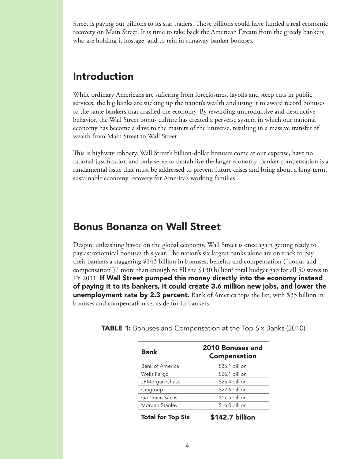Street is paying out billions to its star traders. Those billions could have funded a real economic recovery on Main Street. It is time to take back the American Dream from the greedy bankers who are holding it hostage, and to rein in runaway banker bonuses.

## Introduction

While ordinary Americans are suffering from foreclosures, layoffs and steep cuts in public services, the big banks are sucking up the nation's wealth and using it to award record bonuses to the same bankers that crashed the economy. By rewarding unproductive and destructive behavior, the Wall Street bonus culture has created a perverse system in which our national economy has become a slave to the masters of the universe, resulting in a massive transfer of wealth from Main Street to Wall Street.

This is highway robbery. Wall Street's billion-dollar bonuses come at our expense, have no rational justification and only serve to destabilize the larger economy. Banker compensation is a fundamental issue that must be addressed to prevent future crises and bring about a long-term, sustainable economy recovery for America's working families.

## Bonus Bonanza on Wall Street

Despite unleashing havoc on the global economy, Wall Street is once again getting ready to pay astronomical bonuses this year. The nation's six largest banks alone are on track to pay their bankers a staggering \$143 billion in bonuses, benefits and compensation ("bonus and compensation"), $^1$  more than enough to fill the \$130 billion $^2$  total budget gap for all 50 states in  $FY$  2011. If Wall Street pumped this money directly into the economy instead of paying it to its bankers, it could create 3.6 million new jobs, and lower the **unemployment rate by 2.3 percent.** Bank of America tops the list, with \$35 billion in bonuses and compensation set aside for its bankers.

| <b>Bank</b>              | 2010 Bonuses and<br><b>Compensation</b> |
|--------------------------|-----------------------------------------|
| <b>Bank of America</b>   | \$35.1 billion                          |
| Wells Fargo              | \$26.1 billion                          |
| JPMorgan Chase           | \$25.4 billion                          |
| Citigroup                | \$22.6 billion                          |
| Goldman Sachs            | \$17.5 billion                          |
| Morgan Stanley           | \$16.0 billion                          |
| <b>Total for Top Six</b> | \$142.7 billion                         |

**TABLE 1:** Bonuses and Compensation at the Top Six Banks (2010)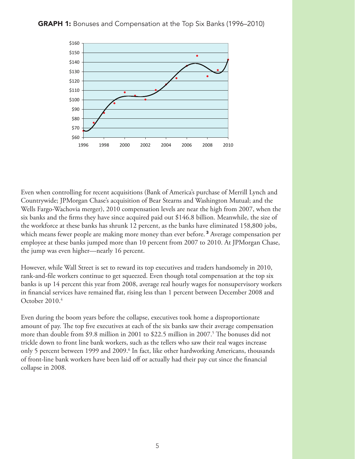

Even when controlling for recent acquisitions (Bank of America's purchase of Merrill Lynch and Countrywide; JPMorgan Chase's acquisition of Bear Stearns and Washington Mutual; and the Wells Fargo-Wachovia merger), 2010 compensation levels are near the high from 2007, when the six banks and the firms they have since acquired paid out \$146.8 billion. Meanwhile, the size of the workforce at these banks has shrunk 12 percent, as the banks have eliminated 158,800 jobs, which means fewer people are making more money than ever before.<sup>3</sup> Average compensation per employee at these banks jumped more than 10 percent from 2007 to 2010. At JPMorgan Chase, the jump was even higher—nearly 16 percent.

However, while Wall Street is set to reward its top executives and traders handsomely in 2010, rank-and-file workers continue to get squeezed. Even though total compensation at the top six banks is up 14 percent this year from 2008, average real hourly wages for nonsupervisory workers in financial services have remained flat, rising less than 1 percent between December 2008 and October 2010.4

Even during the boom years before the collapse, executives took home a disproportionate amount of pay. The top five executives at each of the six banks saw their average compensation more than double from \$9.8 million in 2001 to \$22.5 million in 2007.<sup>5</sup> The bonuses did not trickle down to front line bank workers, such as the tellers who saw their real wages increase only 5 percent between 1999 and 2009.<sup>6</sup> In fact, like other hardworking Americans, thousands of front-line bank workers have been laid off or actually had their pay cut since the financial collapse in 2008.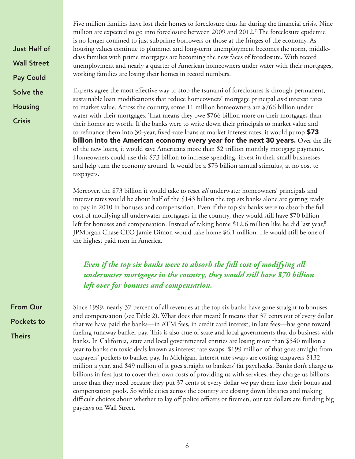Just Half of Wall Street Pay Could Solve the Housing

**Crisis** 

Five million families have lost their homes to foreclosure thus far during the financial crisis. Nine million are expected to go into foreclosure between 2009 and 2012.7 The foreclosure epidemic is no longer confined to just subprime borrowers or those at the fringes of the economy. As housing values continue to plummet and long-term unemployment becomes the norm, middleclass families with prime mortgages are becoming the new faces of foreclosure. With record unemployment and nearly a quarter of American homeowners under water with their mortgages, working families are losing their homes in record numbers.

Experts agree the most effective way to stop the tsunami of foreclosures is through permanent, sustainable loan modifications that reduce homeowners' mortgage principal *and* interest rates to market value. Across the country, some 11 million homeowners are \$766 billion under water with their mortgages. That means they owe \$766 billion more on their mortgages than their homes are worth. If the banks were to write down their principals to market value and to refinance them into 30-year, fixed-rate loans at market interest rates, it would pump **\$73** billion into the American economy every year for the next 30 years. Over the life of the new loans, it would save Americans more than \$2 trillion monthly mortgage payments. Homeowners could use this \$73 billion to increase spending, invest in their small businesses and help turn the economy around. It would be a \$73 billion annual stimulus, at no cost to taxpayers.

Moreover, the \$73 billion it would take to reset *all* underwater homeowners' principals and interest rates would be about half of the \$143 billion the top six banks alone are getting ready to pay in 2010 in bonuses and compensation. Even if the top six banks were to absorb the full cost of modifying all underwater mortgages in the country, they would still have \$70 billion left for bonuses and compensation. Instead of taking home \$12.6 million like he did last year,<sup>8</sup> JPMorgan Chase CEO Jamie Dimon would take home \$6.1 million. He would still be one of the highest paid men in America.

*Even if the top six banks were to absorb the full cost of modifying all underwater mortgages in the country, they would still have \$70 billion left over for bonuses and compensation.*

Since 1999, nearly 37 percent of all revenues at the top six banks have gone straight to bonuses and compensation (see Table 2). What does that mean? It means that 37 cents out of every dollar that we have paid the banks—in ATM fees, in credit card interest, in late fees—has gone toward fueling runaway banker pay. This is also true of state and local governments that do business with banks. In California, state and local governmental entities are losing more than \$540 million a year to banks on toxic deals known as interest rate swaps. \$199 million of that goes straight from taxpayers' pockets to banker pay. In Michigan, interest rate swaps are costing taxpayers \$132 million a year, and \$49 million of it goes straight to bankers' fat paychecks. Banks don't charge us billions in fees just to cover their own costs of providing us with services; they charge us billions more than they need because they put 37 cents of every dollar we pay them into their bonus and compensation pools. So while cities across the country are closing down libraries and making difficult choices about whether to lay off police officers or firemen, our tax dollars are funding big paydays on Wall Street.

From Our Pockets to **Theirs**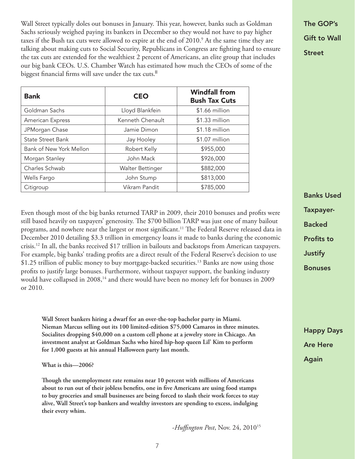Wall Street typically doles out bonuses in January. This year, however, banks such as Goldman Sachs seriously weighed paying its bankers in December so they would not have to pay higher taxes if the Bush tax cuts were allowed to expire at the end of 2010. $^{\circ}$  At the same time they are talking about making cuts to Social Security, Republicans in Congress are fighting hard to ensure the tax cuts are extended for the wealthiest 2 percent of Americans, an elite group that includes our big bank CEOs. U.S. Chamber Watch has estimated how much the CEOs of some of the biggest financial firms will save under the tax cuts.

| <b>Bank</b>              | <b>CEO</b>       | <b>Windfall from</b><br><b>Bush Tax Cuts</b> |
|--------------------------|------------------|----------------------------------------------|
| Goldman Sachs            | Lloyd Blankfein  | \$1.66 million                               |
| American Express         | Kenneth Chenault | \$1.33 million                               |
| JPMorgan Chase           | Jamie Dimon      | $$1.18$ million                              |
| <b>State Street Bank</b> | Jay Hooley       | \$1.07 million                               |
| Bank of New York Mellon  | Robert Kelly     | \$955,000                                    |
| Morgan Stanley           | John Mack        | \$926,000                                    |
| Charles Schwab           | Walter Bettinger | \$882,000                                    |
| Wells Fargo              | John Stump       | \$813,000                                    |
| Citigroup                | Vikram Pandit    | \$785,000                                    |

Even though most of the big banks returned TARP in 2009, their 2010 bonuses and profits were still based heavily on taxpayers' generosity. The \$700 billion TARP was just one of many bailout programs, and nowhere near the largest or most significant.<sup>11</sup> The Federal Reserve released data in December 2010 detailing \$3.3 trillion in emergency loans it made to banks during the economic crisis.12 In all, the banks received \$17 trillion in bailouts and backstops from American taxpayers. For example, big banks' trading profits are a direct result of the Federal Reserve's decision to use \$1.25 trillion of public money to buy mortgage-backed securities.<sup>13</sup> Banks are now using those profits to justify large bonuses. Furthermore, without taxpayer support, the banking industry would have collapsed in 2008,<sup>14</sup> and there would have been no money left for bonuses in 2009 or 2010.

**Wall Street bankers hiring a dwarf for an over-the-top bachelor party in Miami. Nieman Marcus selling out its 100 limited-edition \$75,000 Camaros in three minutes. Socialites dropping \$40,000 on a custom cell phone at a jewelry store in Chicago. An investment analyst at Goldman Sachs who hired hip-hop queen Lil' Kim to perform for 1,000 guests at his annual Halloween party last month.**

**What is this—2006?**

**Though the unemployment rate remains near 10 percent with millions of Americans about to run out of their jobless benefits, one in five Americans are using food stamps to buy groceries and small businesses are being forced to slash their work forces to stay alive, Wall Street's top bankers and wealthy investors are spending to excess, indulging their every whim.**

-*Huffington Post*, Nov. 24, 201015

The GOP's Gift to Wall Street

Banks Used Taxpayer-Backed Profits to **Justify** Bonuses

Happy Days Are Here Again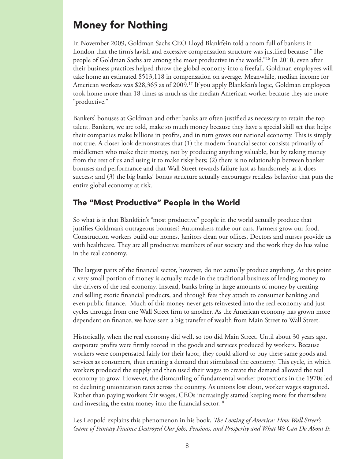## Money for Nothing

In November 2009, Goldman Sachs CEO Lloyd Blankfein told a room full of bankers in London that the firm's lavish and excessive compensation structure was justified because "The people of Goldman Sachs are among the most productive in the world."16 In 2010, even after their business practices helped throw the global economy into a freefall, Goldman employees will take home an estimated \$513,118 in compensation on average. Meanwhile, median income for American workers was \$28,365 as of 2009.<sup>17</sup> If you apply Blankfein's logic, Goldman employees took home more than 18 times as much as the median American worker because they are more "productive."

Bankers' bonuses at Goldman and other banks are often justified as necessary to retain the top talent. Bankers, we are told, make so much money because they have a special skill set that helps their companies make billions in profits, and in turn grows our national economy. This is simply not true. A closer look demonstrates that (1) the modern financial sector consists primarily of middlemen who make their money, not by producing anything valuable, but by taking money from the rest of us and using it to make risky bets; (2) there is no relationship between banker bonuses and performance and that Wall Street rewards failure just as handsomely as it does success; and (3) the big banks' bonus structure actually encourages reckless behavior that puts the entire global economy at risk.

#### The "Most Productive" People in the World

So what is it that Blankfein's "most productive" people in the world actually produce that justifies Goldman's outrageous bonuses? Automakers make our cars. Farmers grow our food. Construction workers build our homes. Janitors clean our offices. Doctors and nurses provide us with healthcare. They are all productive members of our society and the work they do has value in the real economy.

The largest parts of the financial sector, however, do not actually produce anything. At this point a very small portion of money is actually made in the traditional business of lending money to the drivers of the real economy. Instead, banks bring in large amounts of money by creating and selling exotic financial products, and through fees they attach to consumer banking and even public finance. Much of this money never gets reinvested into the real economy and just cycles through from one Wall Street firm to another. As the American economy has grown more dependent on finance, we have seen a big transfer of wealth from Main Street to Wall Street.

Historically, when the real economy did well, so too did Main Street. Until about 30 years ago, corporate profits were firmly rooted in the goods and services produced by workers. Because workers were compensated fairly for their labor, they could afford to buy these same goods and services as consumers, thus creating a demand that stimulated the economy. This cycle, in which workers produced the supply and then used their wages to create the demand allowed the real economy to grow. However, the dismantling of fundamental worker protections in the 1970s led to declining unionization rates across the country. As unions lost clout, worker wages stagnated. Rather than paying workers fair wages, CEOs increasingly started keeping more for themselves and investing the extra money into the financial sector.<sup>18</sup>

Les Leopold explains this phenomenon in his book, *The Looting of America: How Wall Street's Game of Fantasy Finance Destroyed Our Jobs, Pensions, and Prosperity and What We Can Do About It*: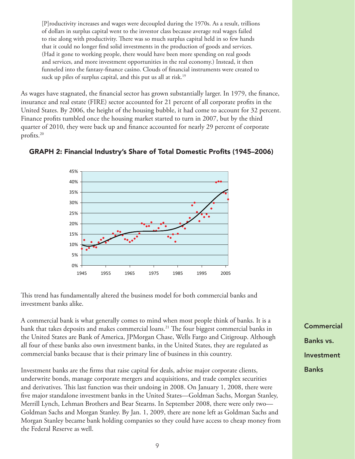[P]roductivity increases and wages were decoupled during the 1970s. As a result, trillions of dollars in surplus capital went to the investor class because average real wages failed to rise along with productivity. There was so much surplus capital held in so few hands that it could no longer find solid investments in the production of goods and services. (Had it gone to working people, there would have been more spending on real goods and services, and more investment opportunities in the real economy.) Instead, it then funneled into the fantasy-finance casino. Clouds of financial instruments were created to suck up piles of surplus capital, and this put us all at risk.<sup>19</sup>

As wages have stagnated, the financial sector has grown substantially larger. In 1979, the finance, insurance and real estate (FIRE) sector accounted for 21 percent of all corporate profits in the United States. By 2006, the height of the housing bubble, it had come to account for 32 percent. Finance profits tumbled once the housing market started to turn in 2007, but by the third quarter of 2010, they were back up and finance accounted for nearly 29 percent of corporate profits.20



#### GRAPH 2: Financial Industry's Share of Total Domestic Profits (1945–2006)

This trend has fundamentally altered the business model for both commercial banks and investment banks alike.

A commercial bank is what generally comes to mind when most people think of banks. It is a bank that takes deposits and makes commercial loans.<sup>21</sup> The four biggest commercial banks in the United States are Bank of America, JPMorgan Chase, Wells Fargo and Citigroup. Although all four of these banks also own investment banks, in the United States, they are regulated as commercial banks because that is their primary line of business in this country.

Investment banks are the firms that raise capital for deals, advise major corporate clients, underwrite bonds, manage corporate mergers and acquisitions, and trade complex securities and derivatives. This last function was their undoing in 2008. On January 1, 2008, there were five major standalone investment banks in the United States—Goldman Sachs, Morgan Stanley, Merrill Lynch, Lehman Brothers and Bear Stearns. In September 2008, there were only two— Goldman Sachs and Morgan Stanley. By Jan. 1, 2009, there are none left as Goldman Sachs and Morgan Stanley became bank holding companies so they could have access to cheap money from the Federal Reserve as well.

**Commercial** Banks vs. Investment Banks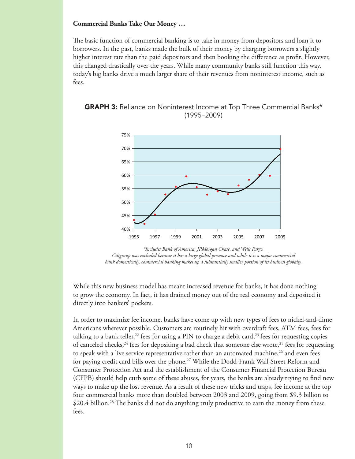#### **Commercial Banks Take Our Money …**

The basic function of commercial banking is to take in money from depositors and loan it to borrowers. In the past, banks made the bulk of their money by charging borrowers a slightly higher interest rate than the paid depositors and then booking the difference as profit. However, this changed drastically over the years. While many community banks still function this way, today's big banks drive a much larger share of their revenues from noninterest income, such as fees.





*<sup>\*</sup>Includes Bank of America, JPMorgan Chase, and Wells Fargo. Citigroup was excluded because it has a large global presence and while it is a major commercial bank domestically, commercial banking makes up a substantially smaller portion of its business globally.*

While this new business model has meant increased revenue for banks, it has done nothing to grow the economy. In fact, it has drained money out of the real economy and deposited it directly into bankers' pockets.

In order to maximize fee income, banks have come up with new types of fees to nickel-and-dime Americans wherever possible. Customers are routinely hit with overdraft fees, ATM fees, fees for talking to a bank teller,<sup>22</sup> fees for using a PIN to charge a debit card,<sup>23</sup> fees for requesting copies of canceled checks,<sup>24</sup> fees for depositing a bad check that someone else wrote,<sup>25</sup> fees for requesting to speak with a live service representative rather than an automated machine, $^{26}$  and even fees for paying credit card bills over the phone.<sup>27</sup> While the Dodd-Frank Wall Street Reform and Consumer Protection Act and the establishment of the Consumer Financial Protection Bureau (CFPB) should help curb some of these abuses, for years, the banks are already trying to find new ways to make up the lost revenue. As a result of these new tricks and traps, fee income at the top four commercial banks more than doubled between 2003 and 2009, going from \$9.3 billion to \$20.4 billion.<sup>28</sup> The banks did not do anything truly productive to earn the money from these fees.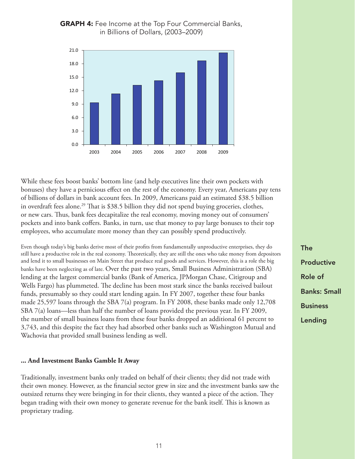

#### **GRAPH 4:** Fee Income at the Top Four Commercial Banks, in Billions of Dollars, (2003–2009)

While these fees boost banks' bottom line (and help executives line their own pockets with bonuses) they have a pernicious effect on the rest of the economy. Every year, Americans pay tens of billions of dollars in bank account fees. In 2009, Americans paid an estimated \$38.5 billion in overdraft fees alone.<sup>29</sup> That is \$38.5 billion they did not spend buying groceries, clothes, or new cars. Thus, bank fees decapitalize the real economy, moving money out of consumers' pockets and into bank coffers. Banks, in turn, use that money to pay large bonuses to their top employees, who accumulate more money than they can possibly spend productively.

Even though today's big banks derive most of their profits from fundamentally unproductive enterprises, they do still have a productive role in the real economy. Theoretically, they are still the ones who take money from depositors and lend it to small businesses on Main Street that produce real goods and services. However, this is a role the big banks have been neglecting as of late. Over the past two years, Small Business Administration (SBA) lending at the largest commercial banks (Bank of America, JPMorgan Chase, Citigroup and Wells Fargo) has plummeted. The decline has been most stark since the banks received bailout funds, presumably so they could start lending again. In FY 2007, together these four banks made 25,597 loans through the SBA 7(a) program. In FY 2008, these banks made only 12,708 SBA 7(a) loans—less than half the number of loans provided the previous year. In FY 2009, the number of small business loans from these four banks dropped an additional 61 percent to 3,743, and this despite the fact they had absorbed other banks such as Washington Mutual and Wachovia that provided small business lending as well.

#### **... And Investment Banks Gamble It Away**

Traditionally, investment banks only traded on behalf of their clients; they did not trade with their own money. However, as the financial sector grew in size and the investment banks saw the outsized returns they were bringing in for their clients, they wanted a piece of the action. They began trading with their own money to generate revenue for the bank itself. This is known as proprietary trading.

The Productive Role of Banks: Small Business Lending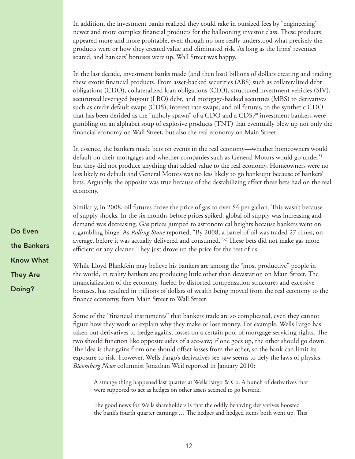In addition, the investment banks realized they could rake in outsized fees by "engineering" newer and more complex financial products for the ballooning investor class. These products appeared more and more profitable, even though no one really understood what precisely the products were or how they created value and eliminated risk. As long as the firms' revenues soared, and bankers' bonuses were up, Wall Street was happy.

In the last decade, investment banks made (and then lost) billions of dollars creating and trading these exotic financial products. From asset-backed securities (ABS) such as collateralized debt obligations (CDO), collateralized loan obligations (CLO), structured investment vehicles (SIV), securitized leveraged buyout (LBO) debt, and mortgage-backed securities (MBS) to derivatives such as credit default swaps (CDS), interest rate swaps, and oil futures, to the synthetic CDO that has been derided as the "unholy spawn" of a CDO and a CDS,<sup>30</sup> investment bankers were gambling on an alphabet soup of explosive products (TNT) that eventually blew up not only the financial economy on Wall Street, but also the real economy on Main Street.

In essence, the bankers made bets on events in the real economy—whether homeowners would default on their mortgages and whether companies such as General Motors would go under  $3<sup>1</sup>$  but they did not produce anything that added value to the real economy. Homeowners were no less likely to default and General Motors was no less likely to go bankrupt because of bankers' bets. Arguably, the opposite was true because of the destabilizing effect these bets had on the real economy.

Similarly, in 2008, oil futures drove the price of gas to over \$4 per gallon. This wasn't because of supply shocks. In the six months before prices spiked, global oil supply was increasing and demand was decreasing. Gas prices jumped to astronomical heights because bankers went on a gambling binge. As *Rolling Stone* reported, "By 2008, a barrel of oil was traded 27 times, on average, before it was actually delivered and consumed."<sup>32</sup> These bets did not make gas more efficient or any cleaner. They just drove up the price for the rest of us.

While Lloyd Blankfein may believe his bankers are among the "most productive" people in the world, in reality bankers are producing little other than devastation on Main Street. The financialization of the economy, fueled by distorted compensation structures and excessive bonuses, has resulted in trillions of dollars of wealth being moved from the real economy to the finance economy, from Main Street to Wall Street.

Some of the "financial instruments" that bankers trade are so complicated, even they cannot figure how they work or explain why they make or lose money. For example, Wells Fargo has taken out derivatives to hedge against losses on a certain pool of mortgage-servicing rights. The two should function like opposite sides of a see-saw; if one goes up, the other should go down. The idea is that gains from one should offset losses from the other, so the bank can limit its exposure to risk. However, Wells Fargo's derivatives see-saw seems to defy the laws of physics. *Bloomberg News* columnist Jonathan Weil reported in January 2010:

A strange thing happened last quarter at Wells Fargo & Co. A bunch of derivatives that were supposed to act as hedges on other assets seemed to go berserk.

The good news for Wells shareholders is that the oddly behaving derivatives boosted the bank's fourth quarter earnings … The hedges and hedged items both went up. This

Do Even the Bankers Know What They Are Doing?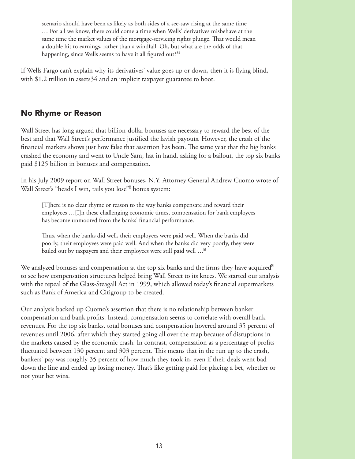scenario should have been as likely as both sides of a see-saw rising at the same time … For all we know, there could come a time when Wells' derivatives misbehave at the same time the market values of the mortgage-servicing rights plunge. That would mean a double hit to earnings, rather than a windfall. Oh, but what are the odds of that happening, since Wells seems to have it all figured out?<sup>33</sup>

If Wells Fargo can't explain why its derivatives' value goes up or down, then it is flying blind, with \$1.2 trillion in assets34 and an implicit taxpayer guarantee to boot.

#### No Rhyme or Reason

Wall Street has long argued that billion-dollar bonuses are necessary to reward the best of the best and that Wall Street's performance justified the lavish payouts. However, the crash of the financial markets shows just how false that assertion has been. The same year that the big banks crashed the economy and went to Uncle Sam, hat in hand, asking for a bailout, the top six banks paid \$125 billion in bonuses and compensation.

In his July 2009 report on Wall Street bonuses, N.Y. Attorney General Andrew Cuomo wrote of Wall Street's "heads I win, tails you lose" bonus system:

[T]here is no clear rhyme or reason to the way banks compensate and reward their employees …[I]n these challenging economic times, compensation for bank employees has become unmoored from the banks' financial performance.

Thus, when the banks did well, their employees were paid well. When the banks did poorly, their employees were paid well. And when the banks did very poorly, they were bailed out by taxpayers and their employees were still paid well …

We analyzed bonuses and compensation at the top six banks and the firms they have acquired to see how compensation structures helped bring Wall Street to its knees. We started our analysis with the repeal of the Glass-Steagall Act in 1999, which allowed today's financial supermarkets such as Bank of America and Citigroup to be created.

Our analysis backed up Cuomo's assertion that there is no relationship between banker compensation and bank profits. Instead, compensation seems to correlate with overall bank revenues. For the top six banks, total bonuses and compensation hovered around 35 percent of revenues until 2006, after which they started going all over the map because of disruptions in the markets caused by the economic crash. In contrast, compensation as a percentage of profits fluctuated between 130 percent and 303 percent. This means that in the run up to the crash, bankers' pay was roughly 35 percent of how much they took in, even if their deals went bad down the line and ended up losing money. That's like getting paid for placing a bet, whether or not your bet wins.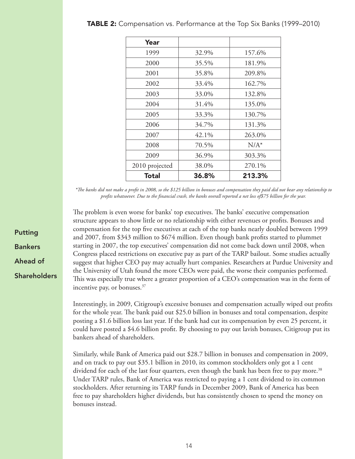| Year           |       |         |
|----------------|-------|---------|
| 1999           | 32.9% | 157.6%  |
| 2000           | 35.5% | 181.9%  |
| 2001           | 35.8% | 209.8%  |
| 2002           | 33.4% | 162.7%  |
| 2003           | 33.0% | 132.8%  |
| 2004           | 31.4% | 135.0%  |
| 2005           | 33.3% | 130.7%  |
| 2006           | 34.7% | 131.3%  |
| 2007           | 42.1% | 263.0%  |
| 2008           | 70.5% | $N/A^*$ |
| 2009           | 36.9% | 303.3%  |
| 2010 projected | 38.0% | 270.1%  |
| <b>Total</b>   | 36.8% | 213.3%  |

*\*The banks did not make a profit in 2008, so the \$125 billion in bonuses and compensation they paid did not bear any relationship to profits whatsoever. Due to the financial crash, the banks overall reported a net loss of\$75 billion for the year.* 

The problem is even worse for banks' top executives. The banks' executive compensation structure appears to show little or no relationship with either revenues or profits. Bonuses and compensation for the top five executives at each of the top banks nearly doubled between 1999 and 2007, from \$343 million to \$674 million. Even though bank profits started to plummet starting in 2007, the top executives' compensation did not come back down until 2008, when Congress placed restrictions on executive pay as part of the TARP bailout. Some studies actually suggest that higher CEO pay may actually hurt companies. Researchers at Purdue University and the University of Utah found the more CEOs were paid, the worse their companies performed. This was especially true where a greater proportion of a CEO's compensation was in the form of incentive pay, or bonuses.37

Interestingly, in 2009, Citigroup's excessive bonuses and compensation actually wiped out profits for the whole year. The bank paid out \$25.0 billion in bonuses and total compensation, despite posting a \$1.6 billion loss last year. If the bank had cut its compensation by even 25 percent, it could have posted a \$4.6 billion profit. By choosing to pay out lavish bonuses, Citigroup put its bankers ahead of shareholders.

Similarly, while Bank of America paid out \$28.7 billion in bonuses and compensation in 2009, and on track to pay out \$35.1 billion in 2010, its common stockholders only got a 1 cent dividend for each of the last four quarters, even though the bank has been free to pay more.<sup>38</sup> Under TARP rules, Bank of America was restricted to paying a 1 cent dividend to its common stockholders. After returning its TARP funds in December 2009, Bank of America has been free to pay shareholders higher dividends, but has consistently chosen to spend the money on bonuses instead.

Putting Bankers Ahead of **Shareholders**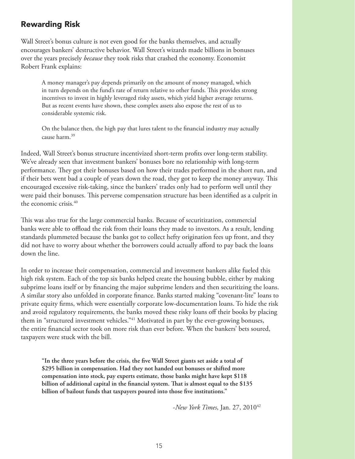#### Rewarding Risk

Wall Street's bonus culture is not even good for the banks themselves, and actually encourages bankers' destructive behavior. Wall Street's wizards made billions in bonuses over the years precisely *because* they took risks that crashed the economy. Economist Robert Frank explains:

A money manager's pay depends primarily on the amount of money managed, which in turn depends on the fund's rate of return relative to other funds. This provides strong incentives to invest in highly leveraged risky assets, which yield higher average returns. But as recent events have shown, these complex assets also expose the rest of us to considerable systemic risk.

On the balance then, the high pay that lures talent to the financial industry may actually cause harm.39

Indeed, Wall Street's bonus structure incentivized short-term profits over long-term stability. We've already seen that investment bankers' bonuses bore no relationship with long-term performance. They got their bonuses based on how their trades performed in the short run, and if their bets went bad a couple of years down the road, they got to keep the money anyway. This encouraged excessive risk-taking, since the bankers' trades only had to perform well until they were paid their bonuses. This perverse compensation structure has been identified as a culprit in the economic crisis. $40$ 

This was also true for the large commercial banks. Because of securitization, commercial banks were able to offload the risk from their loans they made to investors. As a result, lending standards plummeted because the banks got to collect hefty origination fees up front, and they did not have to worry about whether the borrowers could actually afford to pay back the loans down the line.

In order to increase their compensation, commercial and investment bankers alike fueled this high risk system. Each of the top six banks helped create the housing bubble, either by making subprime loans itself or by financing the major subprime lenders and then securitizing the loans. A similar story also unfolded in corporate finance. Banks started making "covenant-lite" loans to private equity firms, which were essentially corporate low-documentation loans. To hide the risk and avoid regulatory requirements, the banks moved these risky loans off their books by placing them in "structured investment vehicles."<sup>41</sup> Motivated in part by the ever-growing bonuses, the entire financial sector took on more risk than ever before. When the bankers' bets soured, taxpayers were stuck with the bill.

**"In the three years before the crisis, the five Wall Street giants set aside a total of \$295 billion in compensation. Had they not handed out bonuses or shifted more compensation into stock, pay experts estimate, those banks might have kept \$118 billion of additional capital in the financial system. That is almost equal to the \$135 billion of bailout funds that taxpayers poured into those five institutions."**

-*New York Times*, Jan. 27, 201042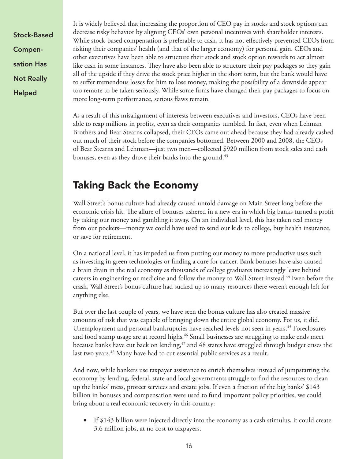Stock-Based Compensation Has Not Really Helped

It is widely believed that increasing the proportion of CEO pay in stocks and stock options can decrease risky behavior by aligning CEOs' own personal incentives with shareholder interests. While stock-based compensation is preferable to cash, it has not effectively prevented CEOs from risking their companies' health (and that of the larger economy) for personal gain. CEOs and other executives have been able to structure their stock and stock option rewards to act almost like cash in some instances. They have also been able to structure their pay packages so they gain all of the upside if they drive the stock price higher in the short term, but the bank would have to suffer tremendous losses for him to lose money, making the possibility of a downside appear too remote to be taken seriously. While some firms have changed their pay packages to focus on more long-term performance, serious flaws remain.

As a result of this misalignment of interests between executives and investors, CEOs have been able to reap millions in profits, even as their companies tumbled. In fact, even when Lehman Brothers and Bear Stearns collapsed, their CEOs came out ahead because they had already cashed out much of their stock before the companies bottomed. Between 2000 and 2008, the CEOs of Bear Stearns and Lehman—just two men—collected \$920 million from stock sales and cash bonuses, even as they drove their banks into the ground.<sup>43</sup>

## Taking Back the Economy

Wall Street's bonus culture had already caused untold damage on Main Street long before the economic crisis hit. The allure of bonuses ushered in a new era in which big banks turned a profit by taking our money and gambling it away. On an individual level, this has taken real money from our pockets—money we could have used to send our kids to college, buy health insurance, or save for retirement.

On a national level, it has impeded us from putting our money to more productive uses such as investing in green technologies or finding a cure for cancer. Bank bonuses have also caused a brain drain in the real economy as thousands of college graduates increasingly leave behind careers in engineering or medicine and follow the money to Wall Street instead.44 Even before the crash, Wall Street's bonus culture had sucked up so many resources there weren't enough left for anything else.

But over the last couple of years, we have seen the bonus culture has also created massive amounts of risk that was capable of bringing down the entire global economy. For us, it did. Unemployment and personal bankruptcies have reached levels not seen in years.<sup>45</sup> Foreclosures and food stamp usage are at record highs.<sup>46</sup> Small businesses are struggling to make ends meet because banks have cut back on lending,<sup>47</sup> and 48 states have struggled through budget crises the last two years.<sup>48</sup> Many have had to cut essential public services as a result.

And now, while bankers use taxpayer assistance to enrich themselves instead of jumpstarting the economy by lending, federal, state and local governments struggle to find the resources to clean up the banks' mess, protect services and create jobs. If even a fraction of the big banks' \$143 billion in bonuses and compensation were used to fund important policy priorities, we could bring about a real economic recovery in this country:

• If \$143 billion were injected directly into the economy as a cash stimulus, it could create 3.6 million jobs, at no cost to taxpayers.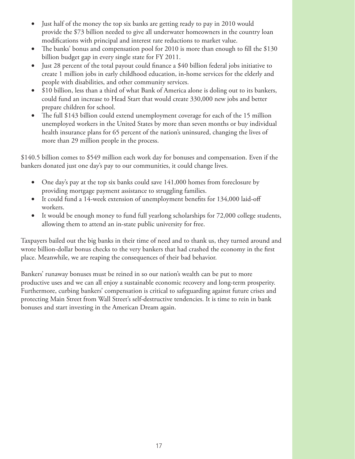- Just half of the money the top six banks are getting ready to pay in 2010 would provide the \$73 billion needed to give all underwater homeowners in the country loan modifications with principal and interest rate reductions to market value.
- The banks' bonus and compensation pool for 2010 is more than enough to fill the \$130 billion budget gap in every single state for FY 2011.
- Just 28 percent of the total payout could finance a \$40 billion federal jobs initiative to create 1 million jobs in early childhood education, in-home services for the elderly and people with disabilities, and other community services.
- \$10 billion, less than a third of what Bank of America alone is doling out to its bankers, could fund an increase to Head Start that would create 330,000 new jobs and better prepare children for school.
- The full \$143 billion could extend unemployment coverage for each of the 15 million unemployed workers in the United States by more than seven months or buy individual health insurance plans for 65 percent of the nation's uninsured, changing the lives of more than 29 million people in the process.

\$140.5 billion comes to \$549 million each work day for bonuses and compensation. Even if the bankers donated just one day's pay to our communities, it could change lives.

- One day's pay at the top six banks could save 141,000 homes from foreclosure by providing mortgage payment assistance to struggling families.
- It could fund a 14-week extension of unemployment benefits for  $134,000$  laid-off workers.
- It would be enough money to fund full yearlong scholarships for 72,000 college students, allowing them to attend an in-state public university for free.

Taxpayers bailed out the big banks in their time of need and to thank us, they turned around and wrote billion-dollar bonus checks to the very bankers that had crashed the economy in the first place. Meanwhile, we are reaping the consequences of their bad behavior.

Bankers' runaway bonuses must be reined in so our nation's wealth can be put to more productive uses and we can all enjoy a sustainable economic recovery and long-term prosperity. Furthermore, curbing bankers' compensation is critical to safeguarding against future crises and protecting Main Street from Wall Street's self-destructive tendencies. It is time to rein in bank bonuses and start investing in the American Dream again.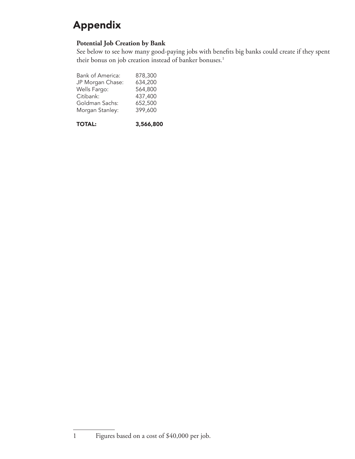# Appendix

#### **Potential Job Creation by Bank**

See below to see how many good-paying jobs with benefits big banks could create if they spent their bonus on job creation instead of banker bonuses.<sup>1</sup>

| <b>Bank of America:</b> | 878,300 |
|-------------------------|---------|
| JP Morgan Chase:        | 634,200 |
| Wells Fargo:            | 564,800 |
| Citibank:               | 437,400 |
| Goldman Sachs:          | 652,500 |
| Morgan Stanley:         | 399,600 |
|                         |         |

TOTAL: 3,566,800

1 Figures based on a cost of \$40,000 per job.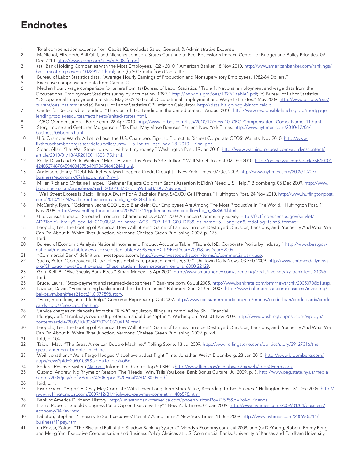## Endnotes

- 1 Total compensation expense from CapitalIQ; excludes Sales, General, & Administrative Expense
- 2 McNichol, Elizabeth, Phil Oliff, and Nicholas Johnson. States Continue to Feel Recession's Impact. Center for Budget and Policy Priorities. 09 Dec 2010. http://www.cbpp.org/files/9-8-08sfp.pdf.
- 3 (a) "Bank Holding Companies with the Most Employees., Q2 2010 " American Banker. 18 Nov 2010. http://www.americanbanker.com/rankings/ bhcs-most-employees-1028912-1.html; and (b) 2007 data from CapitalIQ.
- 4 Bureau of Labor Statistics data. "Average Hourly Earnings of Production and Nonsupervisory Employees, 1982-84 Dollars."
- 5 Executive compensation data from CapitalIQ.
- 6 Median hourly wage comparison for tellers from: (a) Bureau of Labor Statistics. "Table 1. National employment and wage data from the Occupational Employment Statistics survey by occupation, 1999." http://www.bls.gov/oes/1999/i\_table1.pdf; (b) Bureau of Labor Statistics. "Occupational Employment Statistics: May 2009 National Occupational Employment and Wage Estimates." May 2009. http://www.bls.gov/oes/ current/oes\_nat.htm; and (c) Bureau of Labor Statistics CPI Inflation Calculator. http://data.bls.gov/cgi-bin/cpicalc.pl.
- 7 Center for Responsible Lending. "The Cost of Bad Lending in the United States." August 2010. http://www.responsiblelending.org/mortgagelending/tools-resources/factsheets/united-states.html.
- 8 "CEO Compensation." Forbe.com. 28 Apr 2010. http://www.forbes.com/lists/2010/12/boss-10\_CEO-Compensation\_Comp\_Name\_11.html.
- 9 Story, Louise and Gretchen Morgenson. "Tax Fear May Move Bonuses Earlier." New York Times. http://www.nytimes.com/2010/12/06/ business/06bonus.html.
- 10 U.S. Chamber Watch. A Lot to Lose: the U.S. Chamber's Fight to Protect its Richest Corporate CEOS' Wallets. Nov 2010. http://www. fixtheuschamber.org/sites/default/files/uscw - a lot\_to\_lose\_nov\_28\_2010\_-\_final.pdf.
- 11 Sloan, Allan. "Let Wall Street run wild, without my money." Washington Post. 19 Jan 2010. http://www.washingtonpost.com/wp-dyn/content/ article/2010/01/18/AR2010011803175.html.
- 12 Reilly, David and Rolfe Winkler. "Moral Hazard, Thy Price Is \$3.3 Trillion." Wall Street Journal. 02 Dec 2010. http://online.wsj.com/article/SB10001 424052748704594804575649070454645244.html.
- 13 Anderson, Jenny. "Debt-Market Paralysis Deepens Credit Drought." New York Times. 07 Oct 2009. http://www.nytimes.com/2009/10/07/ business/economy/07shadow.html?\_r=1.
- 14 Miller, Rich and Christine Harper. "Geithner Rejects Goldman Sachs Assertion It Didn't Need U.S. Help." Bloomberg. 05 Dec 2009. http://www. bloomberg.com/apps/news?pid=20601087&sid=aWBnxBZDUtZo&pos=1.
- 15 "Wall Street Excess Is Back: Hiring A Dwarf For A Bachelor Party, \$40,000 Cell Phones." Huffington Post. 24 Nov 2010. http://www.huffingtonpost. com/2010/11/24/wall-street-excess-is-back\_n\_788043.html.
- 16 McCarthy, Ryan. "Goldman Sachs CEO Lloyd Blankfein: Our Employees Are Among The Most Productive In The World." Huffington Post. 11 Nov 2009. http://www.huffingtonpost.com/2009/11/11/goldman-sachs-ceo-lloyd-b\_n\_353504.html.
- 17 U.S. Census Bureau. "Selected Economic Characteristics 2009." 2009 American Community Survey. http://factfinder.census.gov/servlet/ ADPTable?\_bm=y&-geo\_id=01000US&-qr\_name=ACS\_2009\_1YR\_G00\_DP3&-ds\_name=&-\_lang=en&-redoLog=false&-format=
- 18 Leopold, Les. The Looting of America: How Wall Street's Game of Fantasy Finance Destroyed Our Jobs, Pensions, and Prosperity And What We Can Do About It. White River Junction, Vermont: Chelsea Green Publishing, 2009. p. 175.
- 19 Ibid.
- 20 Bureau of Economic Analysis National Income and Product Accounts Table. "Table 6.16D. Corporate Profits by Industry." http://www.bea.gov/ national/nipaweb/TableView.asp?SelectedTable=239&Freq=Qtr&FirstYear=2001&LastYear=2009.
- 21 "Commercial Bank" definition. Investopedia.com. http://www.investopedia.com/terms/c/commercialbank.asp.<br>22 Sachs, Peter. "Controversial City Colleges debit card program enrolls 6,300." Chi-Town Daily News. 03 Feb 200
- Sachs, Peter. "Controversial City Colleges debit card program enrolls 6,300." Chi-Town Daily News. 03 Feb 2009. http://www.chitowndailynews. org/Chicago\_news/Controversial\_Chase\_student\_loan\_program\_enrolls\_6300,22129.
- 23 Grat, Kelli B. "Five Sneaky Bank Fees." Smart Money. 13 Apr 2007. http://www.smartmoney.com/spending/deals/five-sneaky-bank-fees-21096.
- 24 Ibid.<br>25 Bruc Bruce, Laura. "Stop-payment and returned-deposit fees." Bankrate.com. 06 Jul 2005. http://www.bankrate.com/brm/news/chk/20050706b1.asp.
- 26 Lazarus, David. "Fees helping banks boost their bottom lines." Baltimore Sun. 21 Oct 2007. http://www.baltimoresun.com/business/investing/ bal-bz.ym.bankfees21oct21,0,977598.story.
- 27 "Fees, more fees, and little help." ConsumerReports.org. Oct 2007. http://www.consumerreports.org/cro/money/credit-loan/credit-cards/creditcards-10-07/fees/card-fee.htm.
- 28 Service charges on deposits from the FR Y-9C regulatory filings, as compiled by SNL Financial.
- 29 Plungis, Jeff. "Frank says overdraft protection should be 'opt-in'". Washington Post. 01 Nov 2009. http://www.washingtonpost.com/wp-dyn/ content/article/2009/10/30/AR2009103004194.html.
- 30 Leopold, Les. The Looting of America: How Wall Street's Game of Fantasy Finance Destroyed Our Jobs, Pensions, and Prosperity And What We Can Do About It. White River Junction, Vermont: Chelsea Green Publishing, 2009. p. xvi.
- 31 Ibid, p. 104.
- 32 Taibbi, Matt. "The Great American Bubble Machine." Rolling Stone. 13 Jul 2009. http://www.rollingstone.com/politics/story/29127316/the great\_american\_bubble\_machine.
- 33 Weil, Jonathan. "Wells Fargo Hedges Misbehave at Just Right Time: Jonathan Weil." Bloomberg. 28 Jan 2010. http://www.bloomberg.com/ apps/news?pid=20601039&sid=a1ofiqq94oBc.
- 34 Federal Reserve System National Information Center. Top 50 BHCs http://www.ffiec.gov/nicpubweb/nicweb/Top50Form.aspx.<br>35 Cuomo, Andrew. No Rhyme or Reason: The 'Heads I Win, Tails You Lose' Bank Bonus Culture. Jul 2009.
- Cuomo, Andrew. No Rhyme or Reason: The 'Heads I Win, Tails You Lose' Bank Bonus Culture. Jul 2009. p. 3. http://www.oag.state.ny.us/media\_ center/2009/july/pdfs/Bonus%20Report%20Final%207.30.09.pdf.
- 36 Ibid, p. 1.<br>37 Kiser, Grae
- Kiser, Grace. "High CEO Pay May Correlate With Lower Long-Term Stock Value, According to Two Studies." Huffington Post. 31 Dec 2009. http:// www.huffingtonpost.com/2009/12/31/high-ceo-pay-may-correlat\_n\_406578.html.
- 38 Bank of America Dividend History. http://investor.bankofamerica.com/phoenix.zhtml?c=71595&p=irol-dividends.
- 39 Frank, Robert. "Should Congress Put a Cap on Executive Pay?" New York Times. 04 Jan 2009. http://www.nytimes.com/2009/01/04/business/ economy/04view.html
- 40 Labaton, Stephen. "Treasury to Set Executives' Pay at 7 Ailing Firms." New York Times. 11 Jun 2009. http://www.nytimes.com/2009/06/11/ business/11pay.html.
- 41 (a) Pozsar, Zoltan. "The Rise and Fall of the Shadow Banking System." Moody's Economy.com. Jul 2008; and (b) DeYoung, Robert, Emmy Peng, and Meng Yan. Executive Compensation and Business Policy Choices at U.S. Commercial Banks. University of Kansas and Fordham University,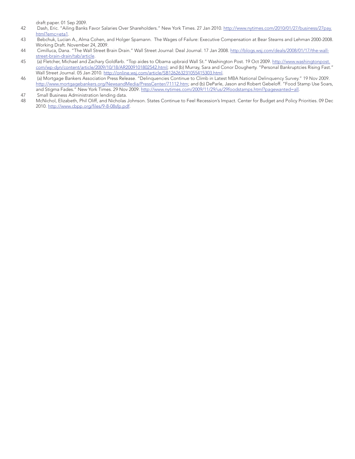draft paper. 01 Sep 2009.

- 42 Dash, Eric. "Ailing Banks Favor Salaries Over Shareholders." New York Times. 27 Jan 2010. http://www.nytimes.com/2010/01/27/business/27pay. html?emc=eta1.
- 43 Bebchuk, Lucian A., Alma Cohen, and Holger Spamann. The Wages of Failure: Executive Compensation at Bear Stearns and Lehman 2000-2008. Working Draft. November 24, 2009.
- 44 Cimilluca, Dana. "The Wall Street Brain Drain." Wall Street Journal: Deal Journal. 17 Jan 2008. http://blogs.wsj.com/deals/2008/01/17/the-wallstreet-brain-drain/tab/article.
- 45 (a) Fletcher, Michael and Zachary Goldfarb. "Top aides to Obama upbraid Wall St." Washington Post. 19 Oct 2009. <u>http://www.washingtonpost.</u> com/wp-dyn/content/article/2009/10/18/AR2009101802542.html; and (b) Murray, Sara and Conor Dougherty. "Personal Bankruptcies Rising Fast." Wall Street Journal. 05 Jan 2010. http://online.wsj.com/article/SB126263231055415303.html.
- 46 (a) Mortgage Bankers Association Press Release. "Delinquencies Continue to Climb in Latest MBA National Delinquency Survey." 19 Nov 2009. http://www.mortgagebankers.org/NewsandMedia/PressCenter/71112.htm; and (b) DeParle, Jason and Robert Gebeloff. "Food Stamp Use Soars, and Stigma Fades." New York Times. 29 Nov 2009. http://www.nytimes.com/2009/11/29/us/29foodstamps.html?pagewanted=all. 47 Small Business Administration lending data.
- 
- 48 McNichol, Elizabeth, Phil Oliff, and Nicholas Johnson. States Continue to Feel Recession's Impact. Center for Budget and Policy Priorities. 09 Dec 2010. http://www.cbpp.org/files/9-8-08sfp.pdf.